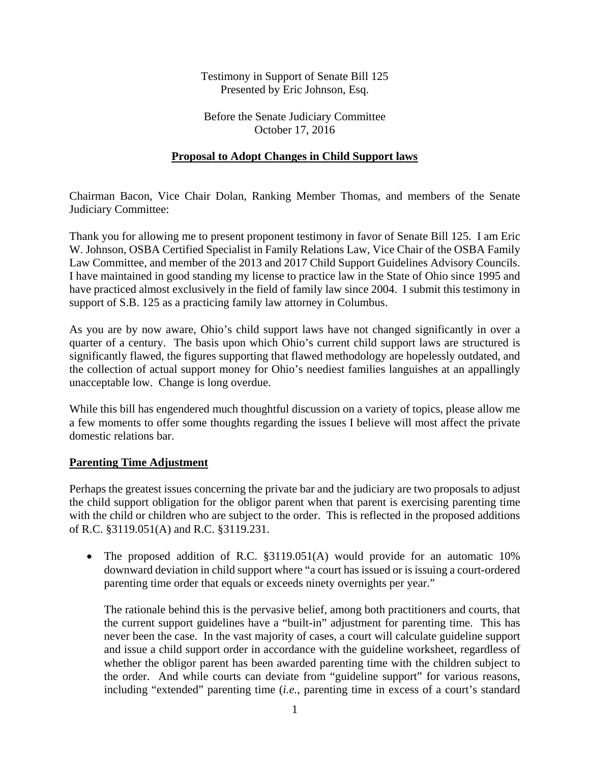Testimony in Support of Senate Bill 125 Presented by Eric Johnson, Esq.

Before the Senate Judiciary Committee October 17, 2016

### **Proposal to Adopt Changes in Child Support laws**

Chairman Bacon, Vice Chair Dolan, Ranking Member Thomas, and members of the Senate Judiciary Committee:

Thank you for allowing me to present proponent testimony in favor of Senate Bill 125. I am Eric W. Johnson, OSBA Certified Specialist in Family Relations Law, Vice Chair of the OSBA Family Law Committee, and member of the 2013 and 2017 Child Support Guidelines Advisory Councils. I have maintained in good standing my license to practice law in the State of Ohio since 1995 and have practiced almost exclusively in the field of family law since 2004. I submit this testimony in support of S.B. 125 as a practicing family law attorney in Columbus.

As you are by now aware, Ohio's child support laws have not changed significantly in over a quarter of a century. The basis upon which Ohio's current child support laws are structured is significantly flawed, the figures supporting that flawed methodology are hopelessly outdated, and the collection of actual support money for Ohio's neediest families languishes at an appallingly unacceptable low. Change is long overdue.

While this bill has engendered much thoughtful discussion on a variety of topics, please allow me a few moments to offer some thoughts regarding the issues I believe will most affect the private domestic relations bar.

#### **Parenting Time Adjustment**

Perhaps the greatest issues concerning the private bar and the judiciary are two proposals to adjust the child support obligation for the obligor parent when that parent is exercising parenting time with the child or children who are subject to the order. This is reflected in the proposed additions of R.C. §3119.051(A) and R.C. §3119.231.

• The proposed addition of R.C. §3119.051(A) would provide for an automatic 10% downward deviation in child support where "a court has issued or is issuing a court-ordered parenting time order that equals or exceeds ninety overnights per year."

The rationale behind this is the pervasive belief, among both practitioners and courts, that the current support guidelines have a "built-in" adjustment for parenting time. This has never been the case. In the vast majority of cases, a court will calculate guideline support and issue a child support order in accordance with the guideline worksheet, regardless of whether the obligor parent has been awarded parenting time with the children subject to the order. And while courts can deviate from "guideline support" for various reasons, including "extended" parenting time (*i.e.*, parenting time in excess of a court's standard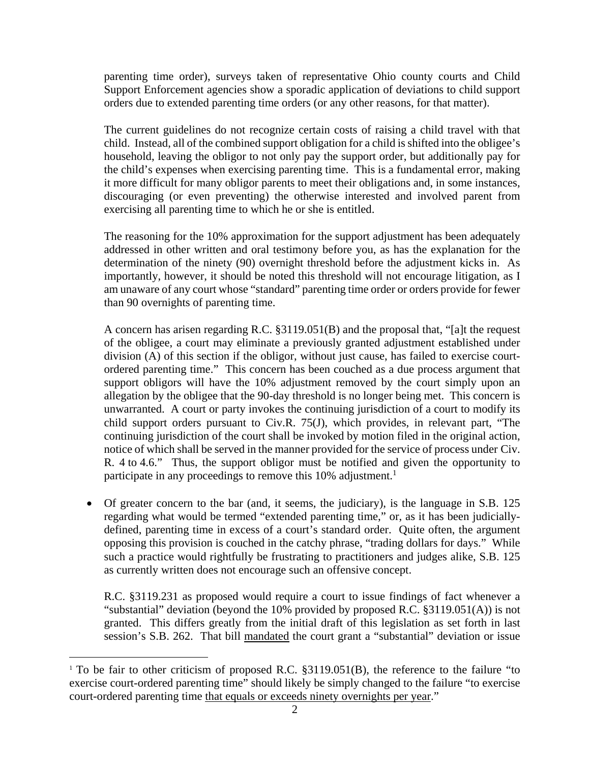parenting time order), surveys taken of representative Ohio county courts and Child Support Enforcement agencies show a sporadic application of deviations to child support orders due to extended parenting time orders (or any other reasons, for that matter).

The current guidelines do not recognize certain costs of raising a child travel with that child. Instead, all of the combined support obligation for a child is shifted into the obligee's household, leaving the obligor to not only pay the support order, but additionally pay for the child's expenses when exercising parenting time. This is a fundamental error, making it more difficult for many obligor parents to meet their obligations and, in some instances, discouraging (or even preventing) the otherwise interested and involved parent from exercising all parenting time to which he or she is entitled.

The reasoning for the 10% approximation for the support adjustment has been adequately addressed in other written and oral testimony before you, as has the explanation for the determination of the ninety (90) overnight threshold before the adjustment kicks in. As importantly, however, it should be noted this threshold will not encourage litigation, as I am unaware of any court whose "standard" parenting time order or orders provide for fewer than 90 overnights of parenting time.

A concern has arisen regarding R.C. §3119.051(B) and the proposal that, "[a]t the request of the obligee, a court may eliminate a previously granted adjustment established under division (A) of this section if the obligor, without just cause, has failed to exercise courtordered parenting time." This concern has been couched as a due process argument that support obligors will have the 10% adjustment removed by the court simply upon an allegation by the obligee that the 90-day threshold is no longer being met. This concern is unwarranted. A court or party invokes the continuing jurisdiction of a court to modify its child support orders pursuant to Civ.R. 75(J), which provides, in relevant part, "The continuing jurisdiction of the court shall be invoked by motion filed in the original action, notice of which shall be served in the manner provided for the service of process under Civ. R. 4 to 4.6." Thus, the support obligor must be notified and given the opportunity to participate in any proceedings to remove this 10% adjustment.<sup>1</sup>

 Of greater concern to the bar (and, it seems, the judiciary), is the language in S.B. 125 regarding what would be termed "extended parenting time," or, as it has been judiciallydefined, parenting time in excess of a court's standard order. Quite often, the argument opposing this provision is couched in the catchy phrase, "trading dollars for days." While such a practice would rightfully be frustrating to practitioners and judges alike, S.B. 125 as currently written does not encourage such an offensive concept.

R.C. §3119.231 as proposed would require a court to issue findings of fact whenever a "substantial" deviation (beyond the 10% provided by proposed R.C. §3119.051(A)) is not granted. This differs greatly from the initial draft of this legislation as set forth in last session's S.B. 262. That bill mandated the court grant a "substantial" deviation or issue

 $\overline{a}$ 

<sup>&</sup>lt;sup>1</sup> To be fair to other criticism of proposed R.C. §3119.051(B), the reference to the failure "to exercise court-ordered parenting time" should likely be simply changed to the failure "to exercise court-ordered parenting time that equals or exceeds ninety overnights per year."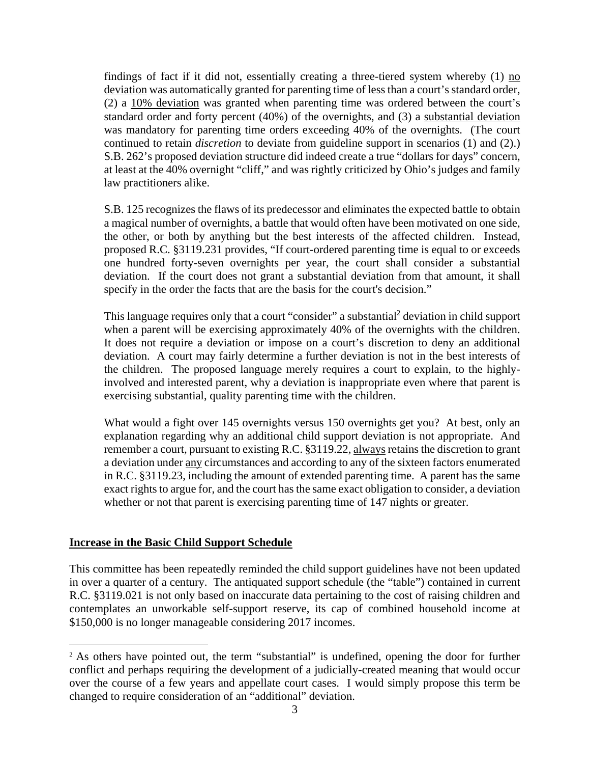findings of fact if it did not, essentially creating a three-tiered system whereby  $(1)$  no deviation was automatically granted for parenting time of less than a court's standard order, (2) a 10% deviation was granted when parenting time was ordered between the court's standard order and forty percent (40%) of the overnights, and (3) a substantial deviation was mandatory for parenting time orders exceeding 40% of the overnights. (The court continued to retain *discretion* to deviate from guideline support in scenarios (1) and (2).) S.B. 262's proposed deviation structure did indeed create a true "dollars for days" concern, at least at the 40% overnight "cliff," and was rightly criticized by Ohio's judges and family law practitioners alike.

S.B. 125 recognizes the flaws of its predecessor and eliminates the expected battle to obtain a magical number of overnights, a battle that would often have been motivated on one side, the other, or both by anything but the best interests of the affected children. Instead, proposed R.C. §3119.231 provides, "If court-ordered parenting time is equal to or exceeds one hundred forty-seven overnights per year, the court shall consider a substantial deviation. If the court does not grant a substantial deviation from that amount, it shall specify in the order the facts that are the basis for the court's decision."

This language requires only that a court "consider" a substantial<sup>2</sup> deviation in child support when a parent will be exercising approximately 40% of the overnights with the children. It does not require a deviation or impose on a court's discretion to deny an additional deviation. A court may fairly determine a further deviation is not in the best interests of the children. The proposed language merely requires a court to explain, to the highlyinvolved and interested parent, why a deviation is inappropriate even where that parent is exercising substantial, quality parenting time with the children.

What would a fight over 145 overnights versus 150 overnights get you? At best, only an explanation regarding why an additional child support deviation is not appropriate. And remember a court, pursuant to existing R.C. §3119.22, always retains the discretion to grant a deviation under any circumstances and according to any of the sixteen factors enumerated in R.C. §3119.23, including the amount of extended parenting time. A parent has the same exact rights to argue for, and the court has the same exact obligation to consider, a deviation whether or not that parent is exercising parenting time of 147 nights or greater.

#### **Increase in the Basic Child Support Schedule**

 $\overline{a}$ 

This committee has been repeatedly reminded the child support guidelines have not been updated in over a quarter of a century. The antiquated support schedule (the "table") contained in current R.C. §3119.021 is not only based on inaccurate data pertaining to the cost of raising children and contemplates an unworkable self-support reserve, its cap of combined household income at \$150,000 is no longer manageable considering 2017 incomes.

<sup>&</sup>lt;sup>2</sup> As others have pointed out, the term "substantial" is undefined, opening the door for further conflict and perhaps requiring the development of a judicially-created meaning that would occur over the course of a few years and appellate court cases. I would simply propose this term be changed to require consideration of an "additional" deviation.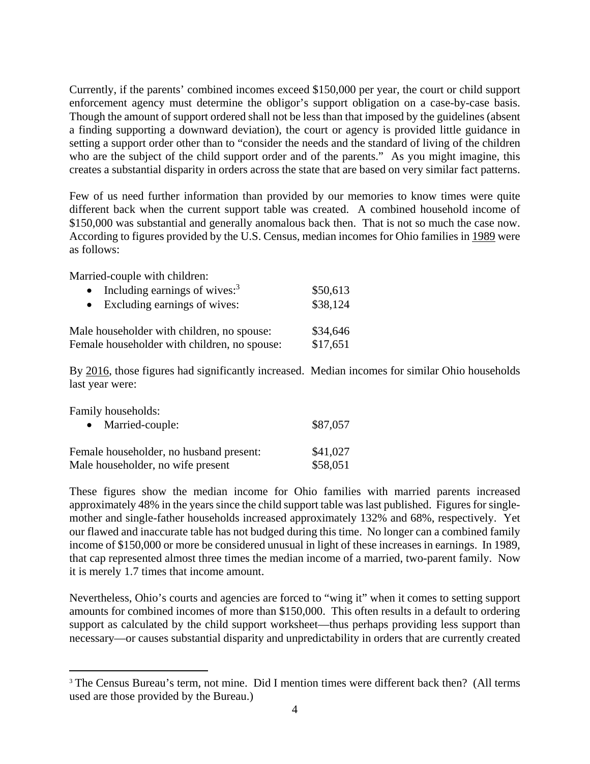Currently, if the parents' combined incomes exceed \$150,000 per year, the court or child support enforcement agency must determine the obligor's support obligation on a case-by-case basis. Though the amount of support ordered shall not be less than that imposed by the guidelines (absent a finding supporting a downward deviation), the court or agency is provided little guidance in setting a support order other than to "consider the needs and the standard of living of the children who are the subject of the child support order and of the parents." As you might imagine, this creates a substantial disparity in orders across the state that are based on very similar fact patterns.

Few of us need further information than provided by our memories to know times were quite different back when the current support table was created. A combined household income of \$150,000 was substantial and generally anomalous back then. That is not so much the case now. According to figures provided by the U.S. Census, median incomes for Ohio families in 1989 were as follows:

Married-couple with children:

| • Including earnings of wives: $3$           | \$50,613 |
|----------------------------------------------|----------|
| • Excluding earnings of wives:               | \$38,124 |
| Male householder with children, no spouse:   | \$34,646 |
| Female householder with children, no spouse: | \$17,651 |

By 2016, those figures had significantly increased. Median incomes for similar Ohio households last year were:

Family households:

 $\overline{a}$ 

| • Married-couple:                       | \$87,057 |
|-----------------------------------------|----------|
| Female householder, no husband present: | \$41,027 |
| Male householder, no wife present       | \$58,051 |

These figures show the median income for Ohio families with married parents increased approximately 48% in the years since the child support table was last published. Figures for singlemother and single-father households increased approximately 132% and 68%, respectively. Yet our flawed and inaccurate table has not budged during this time. No longer can a combined family income of \$150,000 or more be considered unusual in light of these increases in earnings. In 1989, that cap represented almost three times the median income of a married, two-parent family. Now it is merely 1.7 times that income amount.

Nevertheless, Ohio's courts and agencies are forced to "wing it" when it comes to setting support amounts for combined incomes of more than \$150,000. This often results in a default to ordering support as calculated by the child support worksheet—thus perhaps providing less support than necessary—or causes substantial disparity and unpredictability in orders that are currently created

<sup>&</sup>lt;sup>3</sup> The Census Bureau's term, not mine. Did I mention times were different back then? (All terms used are those provided by the Bureau.)